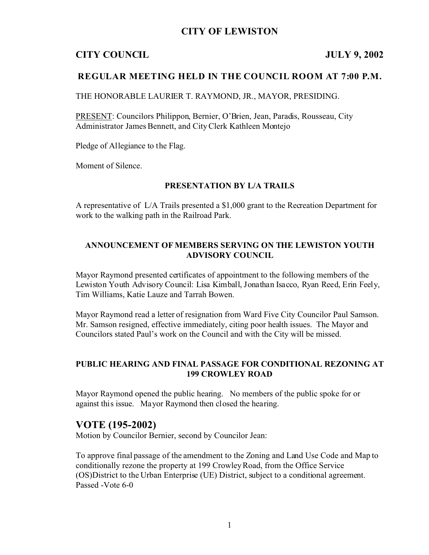# **CITY OF LEWISTON**

# **CITY COUNCIL JULY 9, 2002**

## **REGULAR MEETING HELD IN THE COUNCIL ROOM AT 7:00 P.M.**

THE HONORABLE LAURIER T. RAYMOND, JR., MAYOR, PRESIDING.

PRESENT: Councilors Philippon, Bernier, O'Brien, Jean, Paradis, Rousseau, City Administrator James Bennett, and City Clerk Kathleen Montejo

Pledge of Allegiance to the Flag.

Moment of Silence.

#### **PRESENTATION BY L/A TRAILS**

A representative of L/A Trails presented a \$1,000 grant to the Recreation Department for work to the walking path in the Railroad Park.

#### **ANNOUNCEMENT OF MEMBERS SERVING ON THE LEWISTON YOUTH ADVISORY COUNCIL**

Mayor Raymond presented certificates of appointment to the following members of the Lewiston Youth Advisory Council: Lisa Kimball, Jonathan Isacco, Ryan Reed, Erin Feely, Tim Williams, Katie Lauze and Tarrah Bowen.

Mayor Raymond read a letter of resignation from Ward Five City Councilor Paul Samson. Mr. Samson resigned, effective immediately, citing poor health issues. The Mayor and Councilors stated Paul's work on the Council and with the City will be missed.

## **PUBLIC HEARING AND FINAL PASSAGE FOR CONDITIONAL REZONING AT 199 CROWLEY ROAD**

Mayor Raymond opened the public hearing. No members of the public spoke for or against this issue. Mayor Raymond then closed the hearing.

# **VOTE (195-2002)**

Motion by Councilor Bernier, second by Councilor Jean:

To approve final passage of the amendment to the Zoning and Land Use Code and Map to conditionally rezone the property at 199 Crowley Road, from the Office Service (OS)District to the Urban Enterprise (UE) District, subject to a conditional agreement. Passed -Vote 6-0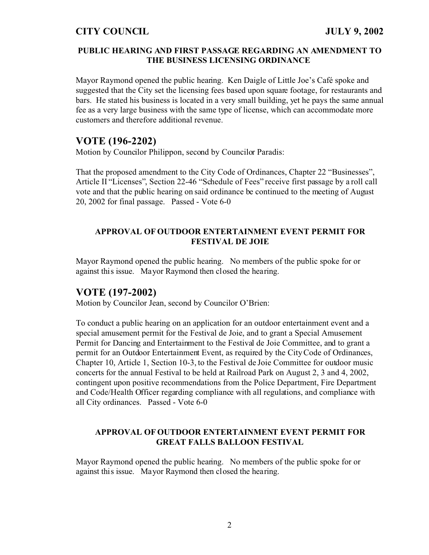#### **PUBLIC HEARING AND FIRST PASSAGE REGARDING AN AMENDMENT TO THE BUSINESS LICENSING ORDINANCE**

Mayor Raymond opened the public hearing. Ken Daigle of Little Joe's Café spoke and suggested that the City set the licensing fees based upon square footage, for restaurants and bars. He stated his business is located in a very small building, yet he pays the same annual fee as a very large business with the same type of license, which can accommodate more customers and therefore additional revenue.

# **VOTE (196-2202)**

Motion by Councilor Philippon, second by Councilor Paradis:

That the proposed amendment to the City Code of Ordinances, Chapter 22 "Businesses", Article II "Licenses", Section 22-46 "Schedule of Fees" receive first passage by a roll call vote and that the public hearing on said ordinance be continued to the meeting of August 20, 2002 for final passage. Passed - Vote 6-0

#### **APPROVAL OF OUTDOOR ENTERTAINMENT EVENT PERMIT FOR FESTIVAL DE JOIE**

Mayor Raymond opened the public hearing. No members of the public spoke for or against this issue. Mayor Raymond then closed the hearing.

## **VOTE (197-2002)**

Motion by Councilor Jean, second by Councilor O'Brien:

To conduct a public hearing on an application for an outdoor entertainment event and a special amusement permit for the Festival de Joie, and to grant a Special Amusement Permit for Dancing and Entertainment to the Festival de Joie Committee, and to grant a permit for an Outdoor Entertainment Event, as required by the City Code of Ordinances, Chapter 10, Article 1, Section 10-3, to the Festival de Joie Committee for outdoor music concerts for the annual Festival to be held at Railroad Park on August 2, 3 and 4, 2002, contingent upon positive recommendations from the Police Department, Fire Department and Code/Health Officer regarding compliance with all regulations, and compliance with all City ordinances. Passed - Vote 6-0

#### **APPROVAL OF OUTDOOR ENTERTAINMENT EVENT PERMIT FOR GREAT FALLS BALLOON FESTIVAL**

Mayor Raymond opened the public hearing. No members of the public spoke for or against this issue. Mayor Raymond then closed the hearing.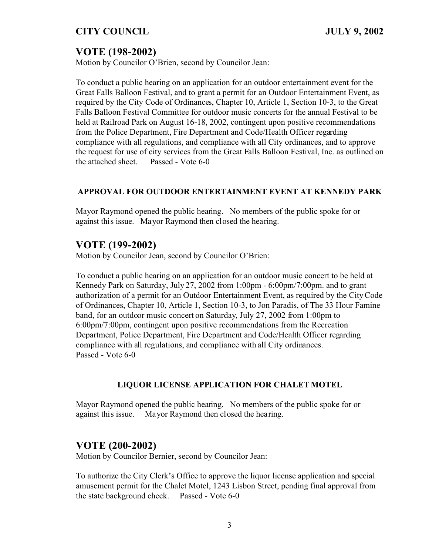# **VOTE (198-2002)**

Motion by Councilor O'Brien, second by Councilor Jean:

To conduct a public hearing on an application for an outdoor entertainment event for the Great Falls Balloon Festival, and to grant a permit for an Outdoor Entertainment Event, as required by the City Code of Ordinances, Chapter 10, Article 1, Section 10-3, to the Great Falls Balloon Festival Committee for outdoor music concerts for the annual Festival to be held at Railroad Park on August 16-18, 2002, contingent upon positive recommendations from the Police Department, Fire Department and Code/Health Officer regarding compliance with all regulations, and compliance with all City ordinances, and to approve the request for use of city services from the Great Falls Balloon Festival, Inc. as outlined on the attached sheet. Passed - Vote 6-0

## **APPROVAL FOR OUTDOOR ENTERTAINMENT EVENT AT KENNEDY PARK**

Mayor Raymond opened the public hearing. No members of the public spoke for or against this issue. Mayor Raymond then closed the hearing.

# **VOTE (199-2002)**

Motion by Councilor Jean, second by Councilor O'Brien:

To conduct a public hearing on an application for an outdoor music concert to be held at Kennedy Park on Saturday, July 27, 2002 from 1:00pm - 6:00pm/7:00pm. and to grant authorization of a permit for an Outdoor Entertainment Event, as required by the City Code of Ordinances, Chapter 10, Article 1, Section 10-3, to Jon Paradis, of The 33 Hour Famine band, for an outdoor music concert on Saturday, July 27, 2002 from 1:00pm to 6:00pm/7:00pm, contingent upon positive recommendations from the Recreation Department, Police Department, Fire Department and Code/Health Officer regarding compliance with all regulations, and compliance with all City ordinances. Passed - Vote 6-0

## **LIQUOR LICENSE APPLICATION FOR CHALET MOTEL**

Mayor Raymond opened the public hearing. No members of the public spoke for or against this issue. Mayor Raymond then closed the hearing.

# **VOTE (200-2002)**

Motion by Councilor Bernier, second by Councilor Jean:

To authorize the City Clerk's Office to approve the liquor license application and special amusement permit for the Chalet Motel, 1243 Lisbon Street, pending final approval from the state background check. Passed - Vote 6-0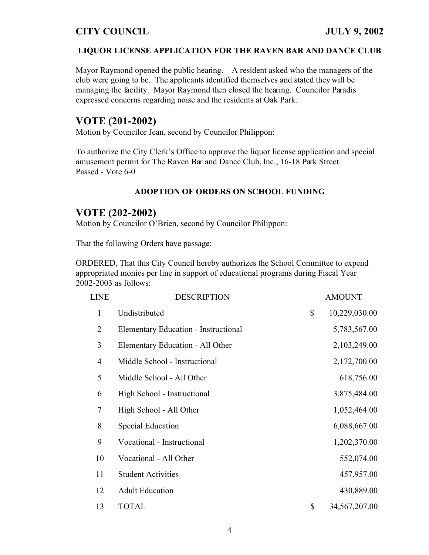#### **LIQUOR LICENSE APPLICATION FOR THE RAVEN BAR AND DANCE CLUB**

Mayor Raymond opened the public hearing. A resident asked who the managers of the club were going to be. The applicants identified themselves and stated they will be managing the facility. Mayor Raymond then closed the hearing. Councilor Paradis expressed concerns regarding noise and the residents at Oak Park.

# **VOTE (201-2002)**

Motion by Councilor Jean, second by Councilor Philippon:

To authorize the City Clerk's Office to approve the liquor license application and special amusement permit for The Raven Bar and Dance Club, Inc., 16-18 Park Street. Passed - Vote 6-0

#### **ADOPTION OF ORDERS ON SCHOOL FUNDING**

## **VOTE (202-2002)**

Motion by Councilor O'Brien, second by Councilor Philippon:

That the following Orders have passage:

ORDERED, That this City Council hereby authorizes the School Committee to expend appropriated monies per line in support of educational programs during Fiscal Year 2002-2003 as follows:

| <b>LINE</b>    | <b>DESCRIPTION</b>                   | <b>AMOUNT</b>         |
|----------------|--------------------------------------|-----------------------|
| $\mathbf{1}$   | Undistributed                        | \$<br>10,229,030.00   |
| $\overline{2}$ | Elementary Education - Instructional | 5,783,567.00          |
| 3              | Elementary Education - All Other     | 2,103,249.00          |
| $\overline{4}$ | Middle School - Instructional        | 2,172,700.00          |
| 5              | Middle School - All Other            | 618,756.00            |
| 6              | High School - Instructional          | 3,875,484.00          |
| 7              | High School - All Other              | 1,052,464.00          |
| 8              | <b>Special Education</b>             | 6,088,667.00          |
| 9              | Vocational - Instructional           | 1,202,370.00          |
| 10             | Vocational - All Other               | 552,074.00            |
| 11             | <b>Student Activities</b>            | 457,957.00            |
| 12             | <b>Adult Education</b>               | 430,889.00            |
| 13             | <b>TOTAL</b>                         | \$<br>34, 567, 207.00 |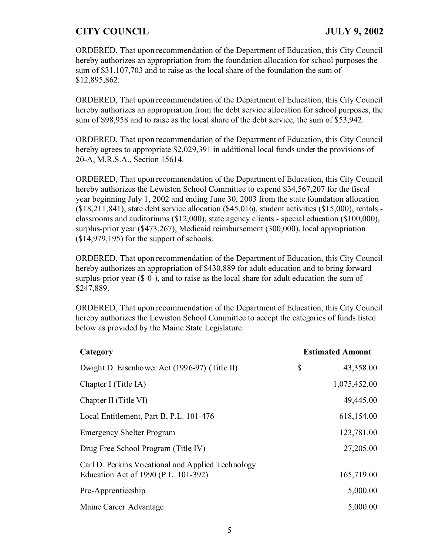ORDERED, That upon recommendation of the Department of Education, this City Council hereby authorizes an appropriation from the foundation allocation for school purposes the sum of \$31,107,703 and to raise as the local share of the foundation the sum of \$12,895,862.

ORDERED, That upon recommendation of the Department of Education, this City Council hereby authorizes an appropriation from the debt service allocation for school purposes, the sum of \$98,958 and to raise as the local share of the debt service, the sum of \$53,942.

ORDERED, That upon recommendation of the Department of Education, this City Council hereby agrees to appropriate \$2,029,391 in additional local funds under the provisions of 20-A, M.R.S.A., Section 15614.

ORDERED, That upon recommendation of the Department of Education, this City Council hereby authorizes the Lewiston School Committee to expend \$34,567,207 for the fiscal year beginning July 1, 2002 and ending June 30, 2003 from the state foundation allocation  $(18, 211, 841)$ , state debt service allocation  $(18, 45, 016)$ , student activities  $(15, 000)$ , rentals classrooms and auditoriums (\$12,000), state agency clients - special education (\$100,000), surplus-prior year (\$473,267), Medicaid reimbursement (300,000), local appropriation (\$14,979,195) for the support of schools.

ORDERED, That upon recommendation of the Department of Education, this City Council hereby authorizes an appropriation of \$430,889 for adult education and to bring forward surplus-prior year (\$-0-), and to raise as the local share for adult education the sum of \$247,889.

ORDERED, That upon recommendation of the Department of Education, this City Council hereby authorizes the Lewiston School Committee to accept the categories of funds listed below as provided by the Maine State Legislature.

| Category                                                                                  | <b>Estimated Amount</b> |
|-------------------------------------------------------------------------------------------|-------------------------|
| Dwight D. Eisenhower Act (1996-97) (Title II)                                             | \$<br>43,358.00         |
| Chapter I (Title IA)                                                                      | 1,075,452.00            |
| Chapter II (Title VI)                                                                     | 49,445.00               |
| Local Entitlement, Part B, P.L. 101-476                                                   | 618,154.00              |
| <b>Emergency Shelter Program</b>                                                          | 123,781.00              |
| Drug Free School Program (Title IV)                                                       | 27,205.00               |
| Carl D. Perkins Vocational and Applied Technology<br>Education Act of 1990 (P.L. 101-392) | 165,719.00              |
| Pre-Apprenticeship                                                                        | 5,000.00                |
| Maine Career Advantage                                                                    | 5,000.00                |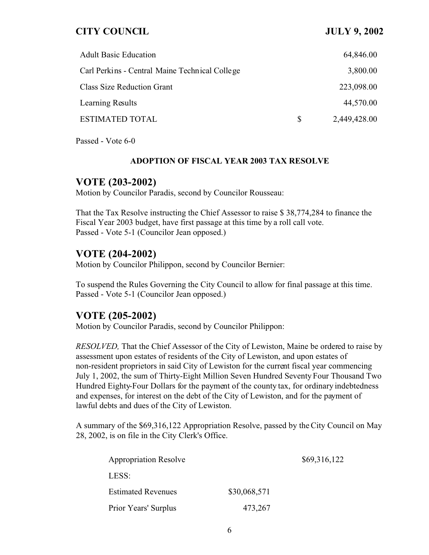| <b>Adult Basic Education</b>                   |          | 64,846.00    |
|------------------------------------------------|----------|--------------|
| Carl Perkins - Central Maine Technical College |          | 3,800.00     |
| <b>Class Size Reduction Grant</b>              |          | 223,098.00   |
| Learning Results                               |          | 44,570.00    |
| <b>ESTIMATED TOTAL</b>                         | <b>S</b> | 2,449,428.00 |

Passed - Vote 6-0

#### **ADOPTION OF FISCAL YEAR 2003 TAX RESOLVE**

## **VOTE (203-2002)**

Motion by Councilor Paradis, second by Councilor Rousseau:

That the Tax Resolve instructing the Chief Assessor to raise \$ 38,774,284 to finance the Fiscal Year 2003 budget, have first passage at this time by a roll call vote. Passed - Vote 5-1 (Councilor Jean opposed.)

# **VOTE (204-2002)**

Motion by Councilor Philippon, second by Councilor Bernier:

To suspend the Rules Governing the City Council to allow for final passage at this time. Passed - Vote 5-1 (Councilor Jean opposed.)

## **VOTE (205-2002)**

Motion by Councilor Paradis, second by Councilor Philippon:

*RESOLVED,* That the Chief Assessor of the City of Lewiston, Maine be ordered to raise by assessment upon estates of residents of the City of Lewiston, and upon estates of non-resident proprietors in said City of Lewiston for the current fiscal year commencing July 1, 2002, the sum of Thirty-Eight Million Seven Hundred Seventy Four Thousand Two Hundred Eighty-Four Dollars for the payment of the county tax, for ordinary indebtedness and expenses, for interest on the debt of the City of Lewiston, and for the payment of lawful debts and dues of the City of Lewiston.

A summary of the \$69,316,122 Appropriation Resolve, passed by the City Council on May 28, 2002, is on file in the City Clerk's Office.

| <b>Appropriation Resolve</b> |              | \$69,316,122 |
|------------------------------|--------------|--------------|
| LESS:                        |              |              |
| <b>Estimated Revenues</b>    | \$30,068,571 |              |
| Prior Years' Surplus         | 473,267      |              |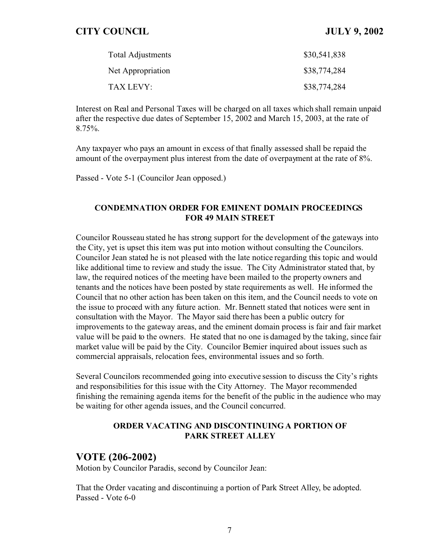| <b>Total Adjustments</b> | \$30,541,838 |
|--------------------------|--------------|
| Net Appropriation        | \$38,774,284 |
| TAX LEVY:                | \$38,774,284 |

Interest on Real and Personal Taxes will be charged on all taxes which shall remain unpaid after the respective due dates of September 15, 2002 and March 15, 2003, at the rate of 8.75%.

Any taxpayer who pays an amount in excess of that finally assessed shall be repaid the amount of the overpayment plus interest from the date of overpayment at the rate of 8%.

Passed - Vote 5-1 (Councilor Jean opposed.)

#### **CONDEMNATION ORDER FOR EMINENT DOMAIN PROCEEDINGS FOR 49 MAIN STREET**

Councilor Rousseau stated he has strong support for the development of the gateways into the City, yet is upset this item was put into motion without consulting the Councilors. Councilor Jean stated he is not pleased with the late notice regarding this topic and would like additional time to review and study the issue. The City Administrator stated that, by law, the required notices of the meeting have been mailed to the property owners and tenants and the notices have been posted by state requirements as well. He informed the Council that no other action has been taken on this item, and the Council needs to vote on the issue to proceed with any future action. Mr. Bennett stated that notices were sent in consultation with the Mayor. The Mayor said there has been a public outcry for improvements to the gateway areas, and the eminent domain process is fair and fair market value will be paid to the owners. He stated that no one is damaged by the taking, since fair market value will be paid by the City. Councilor Bernier inquired about issues such as commercial appraisals, relocation fees, environmental issues and so forth.

Several Councilors recommended going into executive session to discuss the City's rights and responsibilities for this issue with the City Attorney. The Mayor recommended finishing the remaining agenda items for the benefit of the public in the audience who may be waiting for other agenda issues, and the Council concurred.

#### **ORDER VACATING AND DISCONTINUING A PORTION OF PARK STREET ALLEY**

## **VOTE (206-2002)**

Motion by Councilor Paradis, second by Councilor Jean:

That the Order vacating and discontinuing a portion of Park Street Alley, be adopted. Passed - Vote 6-0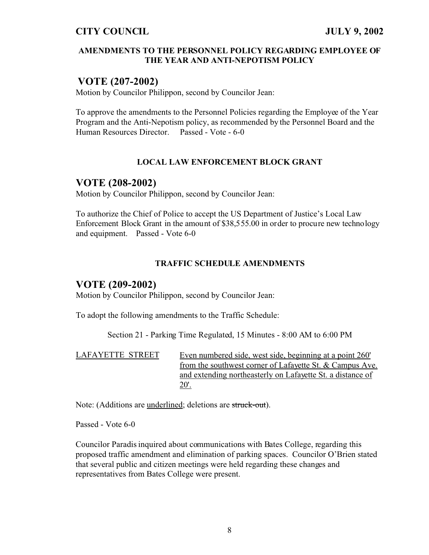#### **AMENDMENTS TO THE PERSONNEL POLICY REGARDING EMPLOYEE OF THE YEAR AND ANTI-NEPOTISM POLICY**

# **VOTE (207-2002)**

Motion by Councilor Philippon, second by Councilor Jean:

To approve the amendments to the Personnel Policies regarding the Employee of the Year Program and the Anti-Nepotism policy, as recommended by the Personnel Board and the Human Resources Director. Passed - Vote - 6-0

#### **LOCAL LAW ENFORCEMENT BLOCK GRANT**

## **VOTE (208-2002)**

Motion by Councilor Philippon, second by Councilor Jean:

To authorize the Chief of Police to accept the US Department of Justice's Local Law Enforcement Block Grant in the amount of \$38,555.00 in order to procure new technology and equipment. Passed - Vote 6-0

#### **TRAFFIC SCHEDULE AMENDMENTS**

## **VOTE (209-2002)**

Motion by Councilor Philippon, second by Councilor Jean:

To adopt the following amendments to the Traffic Schedule:

Section 21 - Parking Time Regulated, 15 Minutes - 8:00 AM to 6:00 PM

LAFAYETTE STREET Even numbered side, west side, beginning at a point 260' from the southwest corner of Lafayette St. & Campus Ave. and extending northeasterly on Lafayette St. a distance of  $20'.$ 

Note: (Additions are underlined; deletions are struck-out).

Passed - Vote 6-0

Councilor Paradis inquired about communications with Bates College, regarding this proposed traffic amendment and elimination of parking spaces. Councilor O'Brien stated that several public and citizen meetings were held regarding these changes and representatives from Bates College were present.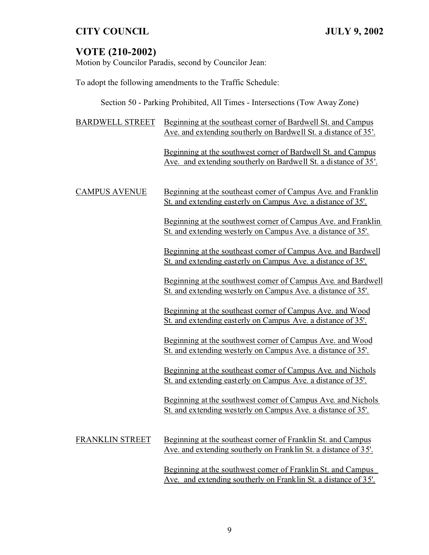# **VOTE (210-2002)**

Motion by Councilor Paradis, second by Councilor Jean:

To adopt the following amendments to the Traffic Schedule:

Section 50 - Parking Prohibited, All Times - Intersections (Tow Away Zone)

| <b>BARDWELL STREET</b> | Beginning at the southeast corner of Bardwell St. and Campus<br>Ave. and extending southerly on Bardwell St. a distance of 35'.    |
|------------------------|------------------------------------------------------------------------------------------------------------------------------------|
|                        | Beginning at the southwest corner of Bardwell St. and Campus<br>Ave. and extending southerly on Bardwell St. a distance of 35'.    |
| <b>CAMPUS AVENUE</b>   | Beginning at the southeast comer of Campus Ave. and Franklin<br>St. and extending easterly on Campus Ave. a distance of 35'.       |
|                        | Beginning at the southwest corner of Campus Ave. and Franklin<br>St. and extending westerly on Campus Ave. a distance of 35'.      |
|                        | Beginning at the southeast comer of Campus Ave. and Bardwell<br>St. and extending easterly on Campus Ave. a distance of 35'.       |
|                        | Beginning at the southwest comer of Campus Ave. and Bardwell<br>St. and extending westerly on Campus Ave. a distance of 35'.       |
|                        | Beginning at the southeast corner of Campus Ave. and Wood<br>St. and extending easterly on Campus Ave. a distance of 35'.          |
|                        | Beginning at the southwest corner of Campus Ave. and Wood<br><u>St. and extending westerly on Campus Ave. a distance of 35'.</u>   |
|                        | Beginning at the southeast comer of Campus Ave. and Nichols<br>St. and extending easterly on Campus Ave. a distance of 35'.        |
|                        | Beginning at the southwest comer of Campus Ave. and Nichols<br><u>St. and extending westerly on Campus Ave. a distance of 35'.</u> |
| <b>FRANKLIN STREET</b> | Beginning at the southeast corner of Franklin St. and Campus<br>Ave. and extending southerly on Franklin St. a distance of 35'.    |

Beginning at the southwest corner of Franklin St. and Campus Ave. and extending southerly on Franklin St. a distance of 35'.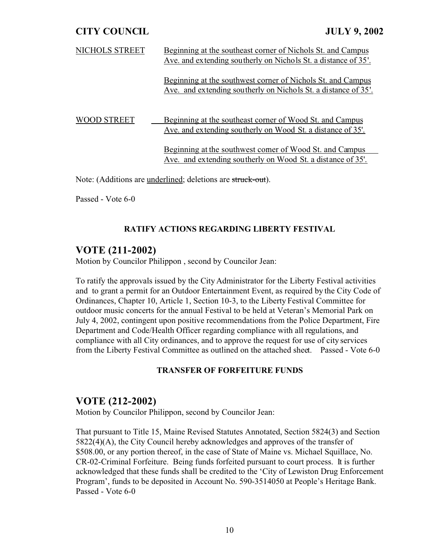| NICHOLS STREET | Beginning at the southeast corner of Nichols St. and Campus<br>Ave. and extending southerly on Nichols St. a distance of 35'. |
|----------------|-------------------------------------------------------------------------------------------------------------------------------|
|                | Beginning at the southwest corner of Nichols St. and Campus<br>Ave. and extending southerly on Nichols St. a distance of 35'. |
| D STREET       | Beginning at the southeast corner of Wood St. and Campus<br>Ave. and extending southerly on Wood St. a distance of 35'.       |
|                | Beginning at the southwest comer of Wood St. and Campus<br>Ave. and extending southerly on Wood St. a distance of 35'.        |

Note: (Additions are underlined; deletions are struck-out).

Passed - Vote 6-0

## **RATIFY ACTIONS REGARDING LIBERTY FESTIVAL**

# **VOTE (211-2002)**

Motion by Councilor Philippon , second by Councilor Jean:

To ratify the approvals issued by the City Administrator for the Liberty Festival activities and to grant a permit for an Outdoor Entertainment Event, as required by the City Code of Ordinances, Chapter 10, Article 1, Section 10-3, to the Liberty Festival Committee for outdoor music concerts for the annual Festival to be held at Veteran's Memorial Park on July 4, 2002, contingent upon positive recommendations from the Police Department, Fire Department and Code/Health Officer regarding compliance with all regulations, and compliance with all City ordinances, and to approve the request for use of city services from the Liberty Festival Committee as outlined on the attached sheet. Passed - Vote 6-0

## **TRANSFER OF FORFEITURE FUNDS**

# **VOTE (212-2002)**

Motion by Councilor Philippon, second by Councilor Jean:

That pursuant to Title 15, Maine Revised Statutes Annotated, Section 5824(3) and Section 5822(4)(A), the City Council hereby acknowledges and approves of the transfer of \$508.00, or any portion thereof, in the case of State of Maine vs. Michael Squillace, No. CR-02-Criminal Forfeiture. Being funds forfeited pursuant to court process. It is further acknowledged that these funds shall be credited to the 'City of Lewiston Drug Enforcement Program', funds to be deposited in Account No. 590-3514050 at People's Heritage Bank. Passed - Vote 6-0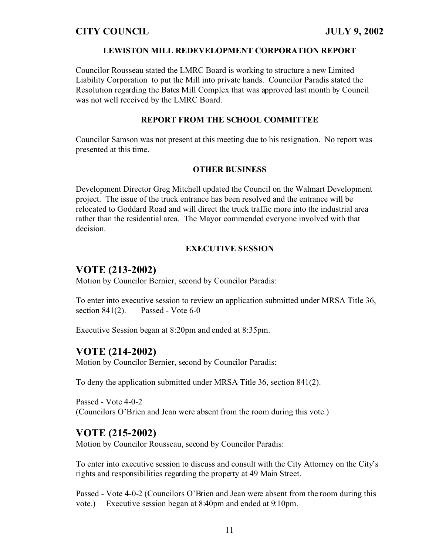#### **LEWISTON MILL REDEVELOPMENT CORPORATION REPORT**

Councilor Rousseau stated the LMRC Board is working to structure a new Limited Liability Corporation to put the Mill into private hands. Councilor Paradis stated the Resolution regarding the Bates Mill Complex that was approved last month by Council was not well received by the LMRC Board.

#### **REPORT FROM THE SCHOOL COMMITTEE**

Councilor Samson was not present at this meeting due to his resignation. No report was presented at this time.

#### **OTHER BUSINESS**

Development Director Greg Mitchell updated the Council on the Walmart Development project. The issue of the truck entrance has been resolved and the entrance will be relocated to Goddard Road and will direct the truck traffic more into the industrial area rather than the residential area. The Mayor commended everyone involved with that decision.

## **EXECUTIVE SESSION**

# **VOTE (213-2002)**

Motion by Councilor Bernier, second by Councilor Paradis:

To enter into executive session to review an application submitted under MRSA Title 36, section  $841(2)$ . Passed - Vote 6-0

Executive Session began at 8:20pm and ended at 8:35pm.

# **VOTE (214-2002)**

Motion by Councilor Bernier, second by Councilor Paradis:

To deny the application submitted under MRSA Title 36, section 841(2).

Passed - Vote 4-0-2 (Councilors O'Brien and Jean were absent from the room during this vote.)

# **VOTE (215-2002)**

Motion by Councilor Rousseau, second by Councilor Paradis:

To enter into executive session to discuss and consult with the City Attorney on the City's rights and responsibilities regarding the property at 49 Main Street.

Passed - Vote 4-0-2 (Councilors O'Brien and Jean were absent from the room during this vote.) Executive session began at 8:40pm and ended at 9:10pm.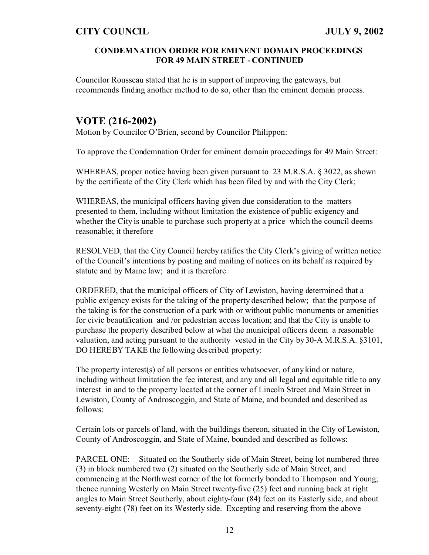#### **CONDEMNATION ORDER FOR EMINENT DOMAIN PROCEEDINGS FOR 49 MAIN STREET - CONTINUED**

Councilor Rousseau stated that he is in support of improving the gateways, but recommends finding another method to do so, other than the eminent domain process.

# **VOTE (216-2002)**

Motion by Councilor O'Brien, second by Councilor Philippon:

To approve the Condemnation Order for eminent domain proceedings for 49 Main Street:

WHEREAS, proper notice having been given pursuant to 23 M.R.S.A. § 3022, as shown by the certificate of the City Clerk which has been filed by and with the City Clerk;

WHEREAS, the municipal officers having given due consideration to the matters presented to them, including without limitation the existence of public exigency and whether the City is unable to purchase such property at a price which the council deems reasonable; it therefore

RESOLVED, that the City Council hereby ratifies the City Clerk's giving of written notice of the Council's intentions by posting and mailing of notices on its behalf as required by statute and by Maine law; and it is therefore

ORDERED, that the municipal officers of City of Lewiston, having determined that a public exigency exists for the taking of the property described below; that the purpose of the taking is for the construction of a park with or without public monuments or amenities for civic beautification and /or pedestrian access location; and that the City is unable to purchase the property described below at what the municipal officers deem a reasonable valuation, and acting pursuant to the authority vested in the City by 30-A M.R.S.A. §3101, DO HEREBY TAKE the following described property:

The property interest(s) of all persons or entities whatsoever, of any kind or nature, including without limitation the fee interest, and any and all legal and equitable title to any interest in and to the property located at the corner of Lincoln Street and Main Street in Lewiston, County of Androscoggin, and State of Maine, and bounded and described as follows:

Certain lots or parcels of land, with the buildings thereon, situated in the City of Lewiston, County of Androscoggin, and State of Maine, bounded and described as follows:

PARCEL ONE: Situated on the Southerly side of Main Street, being lot numbered three (3) in block numbered two (2) situated on the Southerly side of Main Street, and commencing at the Northwest corner of the lot formerly bonded to Thompson and Young; thence running Westerly on Main Street twenty-five (25) feet and running back at right angles to Main Street Southerly, about eighty-four (84) feet on its Easterly side, and about seventy-eight (78) feet on its Westerly side. Excepting and reserving from the above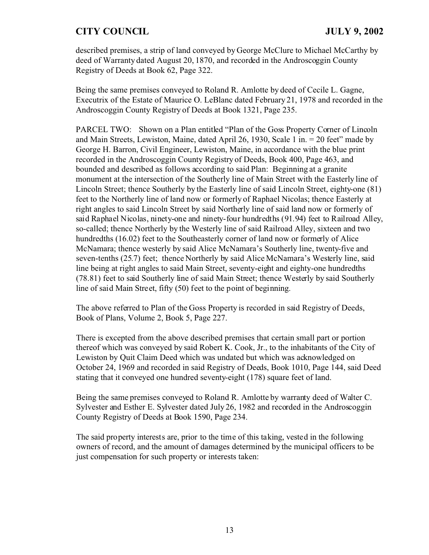described premises, a strip of land conveyed by George McClure to Michael McCarthy by deed of Warranty dated August 20, 1870, and recorded in the Androscoggin County Registry of Deeds at Book 62, Page 322.

Being the same premises conveyed to Roland R. Amlotte by deed of Cecile L. Gagne, Executrix of the Estate of Maurice O. LeBlanc dated February 21, 1978 and recorded in the Androscoggin County Registry of Deeds at Book 1321, Page 235.

PARCEL TWO: Shown on a Plan entitled "Plan of the Goss Property Corner of Lincoln and Main Streets, Lewiston, Maine, dated April 26, 1930, Scale 1 in. = 20 feet" made by George H. Barron, Civil Engineer, Lewiston, Maine, in accordance with the blue print recorded in the Androscoggin County Registry of Deeds, Book 400, Page 463, and bounded and described as follows according to said Plan: Beginning at a granite monument at the intersection of the Southerly line of Main Street with the Easterly line of Lincoln Street; thence Southerly by the Easterly line of said Lincoln Street, eighty-one (81) feet to the Northerly line of land now or formerly of Raphael Nicolas; thence Easterly at right angles to said Lincoln Street by said Northerly line of said land now or formerly of said Raphael Nicolas, ninety-one and ninety-four hundredths (91.94) feet to Railroad Alley, so-called; thence Northerly by the Westerly line of said Railroad Alley, sixteen and two hundredths (16.02) feet to the Southeasterly corner of land now or formerly of Alice McNamara; thence westerly by said Alice McNamara's Southerly line, twenty-five and seven-tenths (25.7) feet; thence Northerly by said Alice McNamara's Westerly line, said line being at right angles to said Main Street, seventy-eight and eighty-one hundredths (78.81) feet to said Southerly line of said Main Street; thence Westerly by said Southerly line of said Main Street, fifty (50) feet to the point of beginning.

The above referred to Plan of the Goss Property is recorded in said Registry of Deeds, Book of Plans, Volume 2, Book 5, Page 227.

There is excepted from the above described premises that certain small part or portion thereof which was conveyed by said Robert K. Cook, Jr., to the inhabitants of the City of Lewiston by Quit Claim Deed which was undated but which was acknowledged on October 24, 1969 and recorded in said Registry of Deeds, Book 1010, Page 144, said Deed stating that it conveyed one hundred seventy-eight (178) square feet of land.

Being the same premises conveyed to Roland R. Amlotte by warranty deed of Walter C. Sylvester and Esther E. Sylvester dated July 26, 1982 and recorded in the Androscoggin County Registry of Deeds at Book 1590, Page 234.

The said property interests are, prior to the time of this taking, vested in the following owners of record, and the amount of damages determined by the municipal officers to be just compensation for such property or interests taken: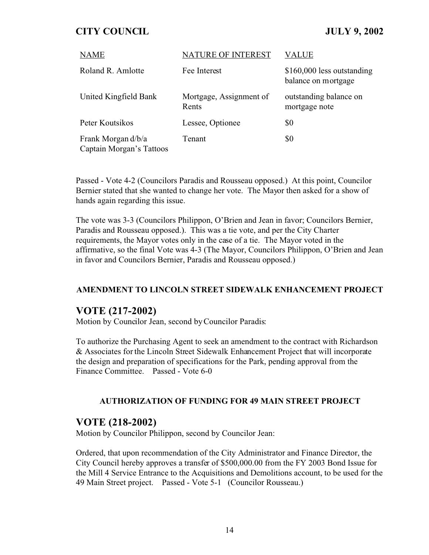| <b>NAME</b>                                    | NATURE OF INTEREST               | VALUE                                             |
|------------------------------------------------|----------------------------------|---------------------------------------------------|
| Roland R. Amlotte                              | Fee Interest                     | \$160,000 less outstanding<br>balance on mortgage |
| United Kingfield Bank                          | Mortgage, Assignment of<br>Rents | outstanding balance on<br>mortgage note           |
| Peter Koutsikos                                | Lessee, Optionee                 | \$0                                               |
| Frank Morgan d/b/a<br>Captain Morgan's Tattoos | Tenant                           | \$0                                               |

Passed - Vote 4-2 (Councilors Paradis and Rousseau opposed.) At this point, Councilor Bernier stated that she wanted to change her vote. The Mayor then asked for a show of hands again regarding this issue.

The vote was 3-3 (Councilors Philippon, O'Brien and Jean in favor; Councilors Bernier, Paradis and Rousseau opposed.). This was a tie vote, and per the City Charter requirements, the Mayor votes only in the case of a tie. The Mayor voted in the affirmative, so the final Vote was 4-3 (The Mayor, Councilors Philippon, O'Brien and Jean in favor and Councilors Bernier, Paradis and Rousseau opposed.)

#### **AMENDMENT TO LINCOLN STREET SIDEWALK ENHANCEMENT PROJECT**

## **VOTE (217-2002)**

Motion by Councilor Jean, second by Councilor Paradis:

To authorize the Purchasing Agent to seek an amendment to the contract with Richardson & Associates for the Lincoln Street Sidewalk Enhancement Project that will incorporate the design and preparation of specifications for the Park, pending approval from the Finance Committee. Passed - Vote 6-0

#### **AUTHORIZATION OF FUNDING FOR 49 MAIN STREET PROJECT**

## **VOTE (218-2002)**

Motion by Councilor Philippon, second by Councilor Jean:

Ordered, that upon recommendation of the City Administrator and Finance Director, the City Council hereby approves a transfer of \$500,000.00 from the FY 2003 Bond Issue for the Mill 4 Service Entrance to the Acquisitions and Demolitions account, to be used for the 49 Main Street project. Passed - Vote 5-1 (Councilor Rousseau.)